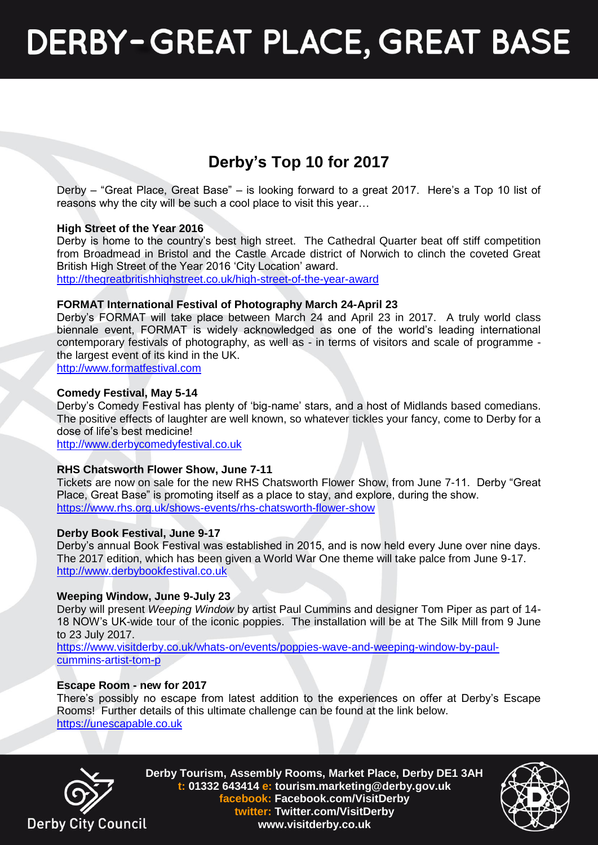## **DERBY-GREAT PLACE, GREAT BASE**

## **Derby's Top 10 for 2017**

Derby – "Great Place, Great Base" – is looking forward to a great 2017. Here's a Top 10 list of reasons why the city will be such a cool place to visit this year…

#### **High Street of the Year 2016**

Derby is home to the country's best high street. The Cathedral Quarter beat off stiff competition from Broadmead in Bristol and the Castle Arcade district of Norwich to clinch the coveted Great British High Street of the Year 2016 'City Location' award. <http://thegreatbritishhighstreet.co.uk/high-street-of-the-year-award>

### **FORMAT International Festival of Photography March 24-April 23**

Derby's FORMAT will take place between March 24 and April 23 in 2017. A truly world class biennale event, FORMAT is widely acknowledged as one of the world's leading international contemporary festivals of photography, as well as - in terms of visitors and scale of programme the largest event of its kind in the UK.

[http://www.formatfestival.com](http://www.formatfestival.com/)

#### **Comedy Festival, May 5-14**

Derby's Comedy Festival has plenty of 'big-name' stars, and a host of Midlands based comedians. The positive effects of laughter are well known, so whatever tickles your fancy, come to Derby for a dose of life's best medicine!

[http://www.derbycomedyfestival.co.uk](http://www.derbycomedyfestival.co.uk/)

#### **RHS Chatsworth Flower Show, June 7-11**

Tickets are now on sale for the new RHS Chatsworth Flower Show, from June 7-11. Derby "Great Place, Great Base" is promoting itself as a place to stay, and explore, during the show. <https://www.rhs.org.uk/shows-events/rhs-chatsworth-flower-show>

#### **Derby Book Festival, June 9-17**

Derby's annual Book Festival was established in 2015, and is now held every June over nine days. The 2017 edition, which has been given a World War One theme will take palce from June 9-17. [http://www.derbybookfestival.co.uk](http://www.derbybookfestival.co.uk/)

#### **Weeping Window, June 9-July 23**

Derby will present *Weeping Window* by artist Paul Cummins and designer Tom Piper as part of 14- 18 NOW's UK-wide tour of the iconic poppies. The installation will be at The Silk Mill from 9 June to 23 July 2017.

[https://www.visitderby.co.uk/whats-on/events/poppies-wave-and-weeping-window-by-paul](https://www.visitderby.co.uk/whats-on/events/poppies-wave-and-weeping-window-by-paul-cummins-artist-tom-p)[cummins-artist-tom-p](https://www.visitderby.co.uk/whats-on/events/poppies-wave-and-weeping-window-by-paul-cummins-artist-tom-p)

#### **Escape Room - new for 2017**

There's possibly no escape from latest addition to the experiences on offer at Derby's Escape Rooms! Further details of this ultimate challenge can be found at the link below. [https://unescapable.co.uk](https://unescapable.co.uk/)



**Derby Tourism, Assembly Rooms, Market Place, Derby DE1 3AH t: 01332 643414 e: tourism.marketing@derby.gov.uk facebook: Facebook.com/VisitDerby twitter: Twitter.com/VisitDerby www.visitderby.co.uk**